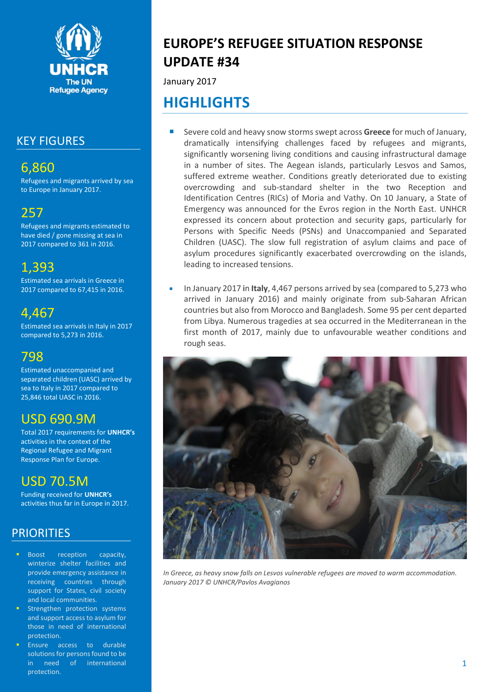

# KEY FIGURES

# 6,860

Refugees and migrants arrived by sea to Europe in January 2017.

# 257

Refugees and migrants estimated to have died / gone missing at sea in 2017 compared to 361 in 2016.

# 1,393

Estimated sea arrivals in Greece in 2017 compared to 67,415 in 2016.

# 4,467

Estimated sea arrivals in Italy in 2017 compared to 5,273 in 2016.

# 798

Estimated unaccompanied and separated children (UASC) arrived by sea to Italy in 2017 compared to 25,846 total UASC in 2016.

# USD 690.9M

Total 2017 requirements for **UNHCR's**  activities in the context of the Regional Refugee and Migrant Response Plan for Europe.

# USD 70.5M

Funding received for **UNHCR's** activities thus far in Europe in 2017.

# PRIORITIES

- Boost reception capacity, winterize shelter facilities and provide emergency assistance in receiving countries through support for States, civil society and local communities.
- Strengthen protection systems and support access to asylum for those in need of international protection.
- Ensure access to durable solutions for persons found to be in need of international protection.

# **EUROPE'S REFUGEE SITUATION RESPONSE UPDATE #34**

January 2017

# **HIGHLIGHTS**

- Severe cold and heavy snow storms swept across **Greece** for much of January, dramatically intensifying challenges faced by refugees and migrants, significantly worsening living conditions and causing infrastructural damage in a number of sites. The Aegean islands, particularly Lesvos and Samos, suffered extreme weather. Conditions greatly deteriorated due to existing overcrowding and sub-standard shelter in the two Reception and Identification Centres (RICs) of Moria and Vathy. On 10 January, a State of Emergency was announced for the Evros region in the North East. UNHCR expressed its concern about protection and security gaps, particularly for Persons with Specific Needs (PSNs) and Unaccompanied and Separated Children (UASC). The slow full registration of asylum claims and pace of asylum procedures significantly exacerbated overcrowding on the islands, leading to increased tensions.
- In January 2017 in **Italy**, 4,467 persons arrived by sea (compared to 5,273 who arrived in January 2016) and mainly originate from sub-Saharan African countries but also from Morocco and Bangladesh. Some 95 per cent departed from Libya. Numerous tragedies at sea occurred in the Mediterranean in the first month of 2017, mainly due to unfavourable weather conditions and rough seas.



*In Greece, as heavy snow falls on Lesvos vulnerable refugees are moved to warm accommodation. January 2017 © UNHCR/Pavlos Avagianos*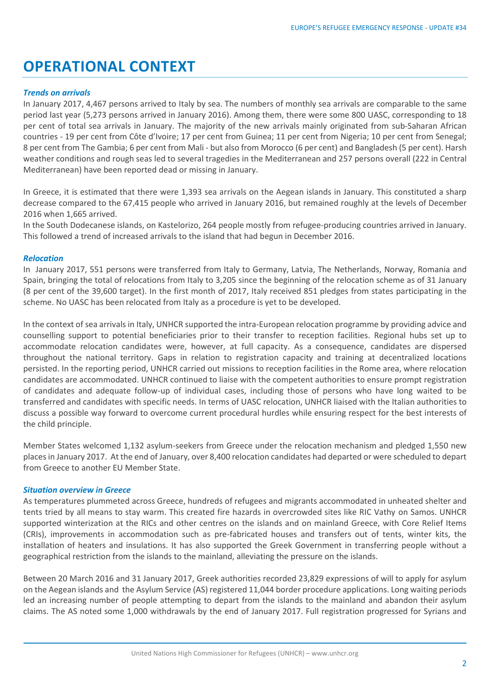# **OPERATIONAL CONTEXT**

### *Trends on arrivals*

In January 2017, 4,467 persons arrived to Italy by sea. The numbers of monthly sea arrivals are comparable to the same period last year (5,273 persons arrived in January 2016). Among them, there were some 800 UASC, corresponding to 18 per cent of total sea arrivals in January. The majority of the new arrivals mainly originated from sub-Saharan African countries - 19 per cent from Côte d'Ivoire; 17 per cent from Guinea; 11 per cent from Nigeria; 10 per cent from Senegal; 8 per cent from The Gambia; 6 per cent from Mali - but also from Morocco (6 per cent) and Bangladesh (5 per cent). Harsh weather conditions and rough seas led to several tragedies in the Mediterranean and 257 persons overall (222 in Central Mediterranean) have been reported dead or missing in January.

In Greece, it is estimated that there were 1,393 sea arrivals on the Aegean islands in January. This constituted a sharp decrease compared to the 67,415 people who arrived in January 2016, but remained roughly at the levels of December 2016 when 1,665 arrived.

In the South Dodecanese islands, on Kastelorizo, 264 people mostly from refugee-producing countries arrived in January. This followed a trend of increased arrivals to the island that had begun in December 2016.

#### *Relocation*

In January 2017, 551 persons were transferred from Italy to Germany, Latvia, The Netherlands, Norway, Romania and Spain, bringing the total of relocations from Italy to 3,205 since the beginning of the relocation scheme as of 31 January (8 per cent of the 39,600 target). In the first month of 2017, Italy received 851 pledges from states participating in the scheme. No UASC has been relocated from Italy as a procedure is yet to be developed.

In the context of sea arrivals in Italy, UNHCR supported the intra-European relocation programme by providing advice and counselling support to potential beneficiaries prior to their transfer to reception facilities. Regional hubs set up to accommodate relocation candidates were, however, at full capacity. As a consequence, candidates are dispersed throughout the national territory. Gaps in relation to registration capacity and training at decentralized locations persisted. In the reporting period, UNHCR carried out missions to reception facilities in the Rome area, where relocation candidates are accommodated. UNHCR continued to liaise with the competent authorities to ensure prompt registration of candidates and adequate follow-up of individual cases, including those of persons who have long waited to be transferred and candidates with specific needs. In terms of UASC relocation, UNHCR liaised with the Italian authorities to discuss a possible way forward to overcome current procedural hurdles while ensuring respect for the best interests of the child principle.

Member States welcomed 1,132 asylum-seekers from Greece under the relocation mechanism and pledged 1,550 new places in January 2017. At the end of January, over 8,400 relocation candidates had departed or were scheduled to depart from Greece to another EU Member State.

## *Situation overview in Greece*

As temperatures plummeted across Greece, hundreds of refugees and migrants accommodated in unheated shelter and tents tried by all means to stay warm. This created fire hazards in overcrowded sites like RIC Vathy on Samos. UNHCR supported winterization at the RICs and other centres on the islands and on mainland Greece, with Core Relief Items (CRIs), improvements in accommodation such as pre-fabricated houses and transfers out of tents, winter kits, the installation of heaters and insulations. It has also supported the Greek Government in transferring people without a geographical restriction from the islands to the mainland, alleviating the pressure on the islands.

Between 20 March 2016 and 31 January 2017, Greek authorities recorded 23,829 expressions of will to apply for asylum on the Aegean islands and the Asylum Service (AS) registered 11,044 border procedure applications. Long waiting periods led an increasing number of people attempting to depart from the islands to the mainland and abandon their asylum claims. The AS noted some 1,000 withdrawals by the end of January 2017. Full registration progressed for Syrians and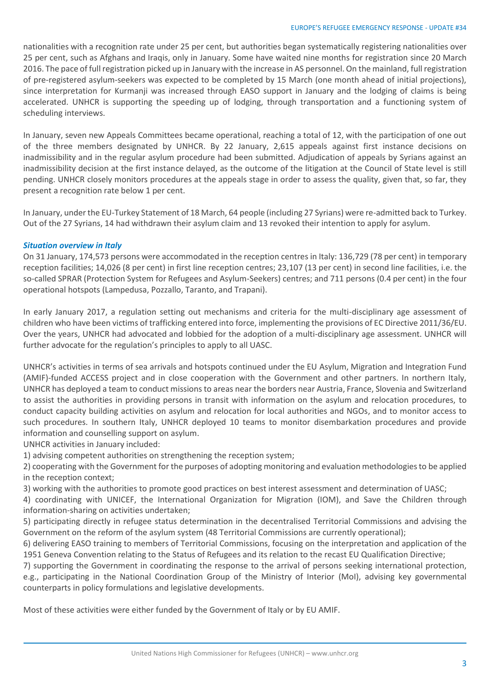nationalities with a recognition rate under 25 per cent, but authorities began systematically registering nationalities over 25 per cent, such as Afghans and Iraqis, only in January. Some have waited nine months for registration since 20 March 2016. The pace of full registration picked up in January with the increase in AS personnel. On the mainland, full registration of pre-registered asylum-seekers was expected to be completed by 15 March (one month ahead of initial projections), since interpretation for Kurmanji was increased through EASO support in January and the lodging of claims is being accelerated. UNHCR is supporting the speeding up of lodging, through transportation and a functioning system of scheduling interviews.

In January, seven new Appeals Committees became operational, reaching a total of 12, with the participation of one out of the three members designated by UNHCR. By 22 January, 2,615 appeals against first instance decisions on inadmissibility and in the regular asylum procedure had been submitted. Adjudication of appeals by Syrians against an inadmissibility decision at the first instance delayed, as the outcome of the litigation at the Council of State level is still pending. UNHCR closely monitors procedures at the appeals stage in order to assess the quality, given that, so far, they present a recognition rate below 1 per cent.

In January, under the EU-Turkey Statement of 18 March, 64 people (including 27 Syrians) were re-admitted back to Turkey. Out of the 27 Syrians, 14 had withdrawn their asylum claim and 13 revoked their intention to apply for asylum.

## *Situation overview in Italy*

On 31 January, 174,573 persons were accommodated in the reception centres in Italy: 136,729 (78 per cent) in temporary reception facilities; 14,026 (8 per cent) in first line reception centres; 23,107 (13 per cent) in second line facilities, i.e. the so-called SPRAR (Protection System for Refugees and Asylum-Seekers) centres; and 711 persons (0.4 per cent) in the four operational hotspots (Lampedusa, Pozzallo, Taranto, and Trapani).

In early January 2017, a regulation setting out mechanisms and criteria for the multi-disciplinary age assessment of children who have been victims of trafficking entered into force, implementing the provisions of EC Directive 2011/36/EU. Over the years, UNHCR had advocated and lobbied for the adoption of a multi-disciplinary age assessment. UNHCR will further advocate for the regulation's principles to apply to all UASC.

UNHCR's activities in terms of sea arrivals and hotspots continued under the EU Asylum, Migration and Integration Fund (AMIF)-funded ACCESS project and in close cooperation with the Government and other partners. In northern Italy, UNHCR has deployed a team to conduct missions to areas near the borders near Austria, France, Slovenia and Switzerland to assist the authorities in providing persons in transit with information on the asylum and relocation procedures, to conduct capacity building activities on asylum and relocation for local authorities and NGOs, and to monitor access to such procedures. In southern Italy, UNHCR deployed 10 teams to monitor disembarkation procedures and provide information and counselling support on asylum.

UNHCR activities in January included:

1) advising competent authorities on strengthening the reception system;

2) cooperating with the Government for the purposes of adopting monitoring and evaluation methodologies to be applied in the reception context;

3) working with the authorities to promote good practices on best interest assessment and determination of UASC;

4) coordinating with UNICEF, the International Organization for Migration (IOM), and Save the Children through information-sharing on activities undertaken;

5) participating directly in refugee status determination in the decentralised Territorial Commissions and advising the Government on the reform of the asylum system (48 Territorial Commissions are currently operational);

6) delivering EASO training to members of Territorial Commissions, focusing on the interpretation and application of the 1951 Geneva Convention relating to the Status of Refugees and its relation to the recast EU Qualification Directive;

7) supporting the Government in coordinating the response to the arrival of persons seeking international protection, e.g., participating in the National Coordination Group of the Ministry of Interior (MoI), advising key governmental counterparts in policy formulations and legislative developments.

Most of these activities were either funded by the Government of Italy or by EU AMIF.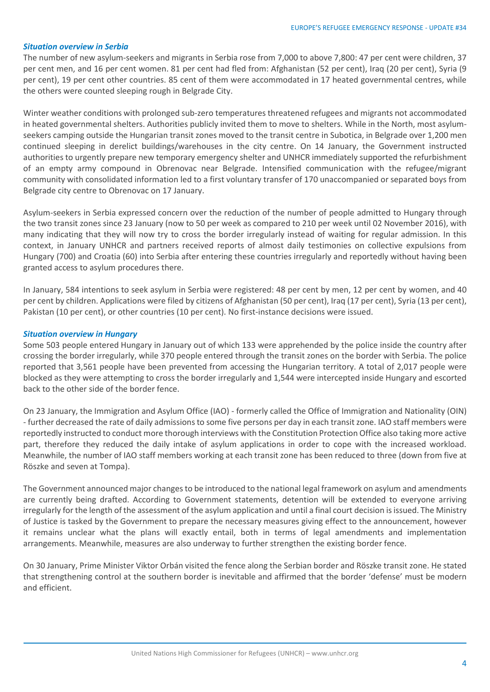#### *Situation overview in Serbia*

The number of new asylum-seekers and migrants in Serbia rose from 7,000 to above 7,800: 47 per cent were children, 37 per cent men, and 16 per cent women. 81 per cent had fled from: Afghanistan (52 per cent), Iraq (20 per cent), Syria (9 per cent), 19 per cent other countries. 85 cent of them were accommodated in 17 heated governmental centres, while the others were counted sleeping rough in Belgrade City.

Winter weather conditions with prolonged sub-zero temperatures threatened refugees and migrants not accommodated in heated governmental shelters. Authorities publicly invited them to move to shelters. While in the North, most asylumseekers camping outside the Hungarian transit zones moved to the transit centre in Subotica, in Belgrade over 1,200 men continued sleeping in derelict buildings/warehouses in the city centre. On 14 January, the Government instructed authorities to urgently prepare new temporary emergency shelter and UNHCR immediately supported the refurbishment of an empty army compound in Obrenovac near Belgrade. Intensified communication with the refugee/migrant community with consolidated information led to a first voluntary transfer of 170 unaccompanied or separated boys from Belgrade city centre to Obrenovac on 17 January.

Asylum-seekers in Serbia expressed concern over the reduction of the number of people admitted to Hungary through the two transit zones since 23 January (now to 50 per week as compared to 210 per week until 02 November 2016), with many indicating that they will now try to cross the border irregularly instead of waiting for regular admission. In this context, in January UNHCR and partners received reports of almost daily testimonies on collective expulsions from Hungary (700) and Croatia (60) into Serbia after entering these countries irregularly and reportedly without having been granted access to asylum procedures there.

In January, 584 intentions to seek asylum in Serbia were registered: 48 per cent by men, 12 per cent by women, and 40 per cent by children. Applications were filed by citizens of Afghanistan (50 per cent), Iraq (17 per cent), Syria (13 per cent), Pakistan (10 per cent), or other countries (10 per cent). No first-instance decisions were issued.

#### *Situation overview in Hungary*

Some 503 people entered Hungary in January out of which 133 were apprehended by the police inside the country after crossing the border irregularly, while 370 people entered through the transit zones on the border with Serbia. The police reported that 3,561 people have been prevented from accessing the Hungarian territory. A total of 2,017 people were blocked as they were attempting to cross the border irregularly and 1,544 were intercepted inside Hungary and escorted back to the other side of the border fence.

On 23 January, the Immigration and Asylum Office (IAO) - formerly called the Office of Immigration and Nationality (OIN) - further decreased the rate of daily admissions to some five persons per day in each transit zone. IAO staff members were reportedly instructed to conduct more thorough interviews with the Constitution Protection Office also taking more active part, therefore they reduced the daily intake of asylum applications in order to cope with the increased workload. Meanwhile, the number of IAO staff members working at each transit zone has been reduced to three (down from five at Röszke and seven at Tompa).

The Government announced major changes to be introduced to the national legal framework on asylum and amendments are currently being drafted. According to Government statements, detention will be extended to everyone arriving irregularly for the length of the assessment of the asylum application and until a final court decision is issued. The Ministry of Justice is tasked by the Government to prepare the necessary measures giving effect to the announcement, however it remains unclear what the plans will exactly entail, both in terms of legal amendments and implementation arrangements. Meanwhile, measures are also underway to further strengthen the existing border fence.

On 30 January, Prime Minister Viktor Orbán visited the fence along the Serbian border and Röszke transit zone. He stated that strengthening control at the southern border is inevitable and affirmed that the border 'defense' must be modern and efficient.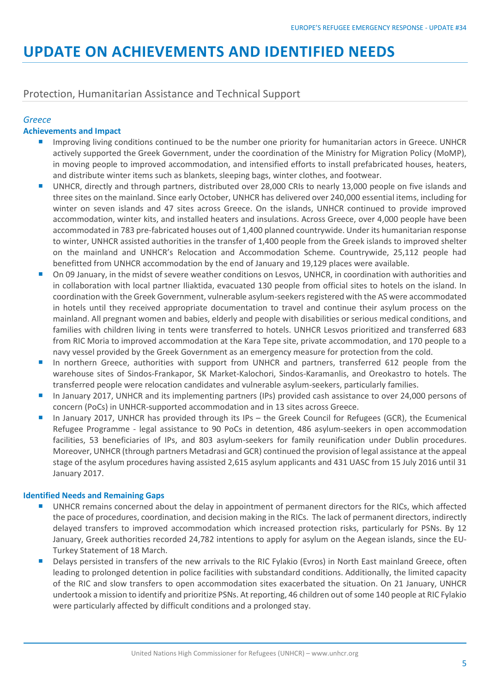# **UPDATE ON ACHIEVEMENTS AND IDENTIFIED NEEDS**

# Protection, Humanitarian Assistance and Technical Support

# *Greece*

# **Achievements and Impact**

- Improving living conditions continued to be the number one priority for humanitarian actors in Greece. UNHCR actively supported the Greek Government, under the coordination of the Ministry for Migration Policy (MoMP), in moving people to improved accommodation, and intensified efforts to install prefabricated houses, heaters, and distribute winter items such as blankets, sleeping bags, winter clothes, and footwear.
- UNHCR, directly and through partners, distributed over 28,000 CRIs to nearly 13,000 people on five islands and three sites on the mainland. Since early October, UNHCR has delivered over 240,000 essential items, including for winter on seven islands and 47 sites across Greece. On the islands, UNHCR continued to provide improved accommodation, winter kits, and installed heaters and insulations. Across Greece, over 4,000 people have been accommodated in 783 pre-fabricated houses out of 1,400 planned countrywide. Under its humanitarian response to winter, UNHCR assisted authorities in the transfer of 1,400 people from the Greek islands to improved shelter on the mainland and UNHCR's Relocation and Accommodation Scheme. Countrywide, 25,112 people had benefitted from UNHCR accommodation by the end of January and 19,129 places were available.
- On 09 January, in the midst of severe weather conditions on Lesvos, UNHCR, in coordination with authorities and in collaboration with local partner Iliaktida, evacuated 130 people from official sites to hotels on the island. In coordination with the Greek Government, vulnerable asylum-seekers registered with the AS were accommodated in hotels until they received appropriate documentation to travel and continue their asylum process on the mainland. All pregnant women and babies, elderly and people with disabilities or serious medical conditions, and families with children living in tents were transferred to hotels. UNHCR Lesvos prioritized and transferred 683 from RIC Moria to improved accommodation at the Kara Tepe site, private accommodation, and 170 people to a navy vessel provided by the Greek Government as an emergency measure for protection from the cold.
- In northern Greece, authorities with support from UNHCR and partners, transferred 612 people from the warehouse sites of Sindos-Frankapor, SK Market-Kalochori, Sindos-Karamanlis, and Oreokastro to hotels. The transferred people were relocation candidates and vulnerable asylum-seekers, particularly families.
- In January 2017, UNHCR and its implementing partners (IPs) provided cash assistance to over 24,000 persons of concern (PoCs) in UNHCR-supported accommodation and in 13 sites across Greece.
- In January 2017, UNHCR has provided through its IPs the Greek Council for Refugees (GCR), the Ecumenical Refugee Programme - legal assistance to 90 PoCs in detention, 486 asylum-seekers in open accommodation facilities, 53 beneficiaries of IPs, and 803 asylum-seekers for family reunification under Dublin procedures. Moreover, UNHCR (through partners Metadrasi and GCR) continued the provision of legal assistance at the appeal stage of the asylum procedures having assisted 2,615 asylum applicants and 431 UASC from 15 July 2016 until 31 January 2017.

## **Identified Needs and Remaining Gaps**

- UNHCR remains concerned about the delay in appointment of permanent directors for the RICs, which affected the pace of procedures, coordination, and decision making in the RICs. The lack of permanent directors, indirectly delayed transfers to improved accommodation which increased protection risks, particularly for PSNs. By 12 January, Greek authorities recorded 24,782 intentions to apply for asylum on the Aegean islands, since the EU-Turkey Statement of 18 March.
- Delays persisted in transfers of the new arrivals to the RIC Fylakio (Evros) in North East mainland Greece, often leading to prolonged detention in police facilities with substandard conditions. Additionally, the limited capacity of the RIC and slow transfers to open accommodation sites exacerbated the situation. On 21 January, UNHCR undertook a mission to identify and prioritize PSNs. At reporting, 46 children out of some 140 people at RIC Fylakio were particularly affected by difficult conditions and a prolonged stay.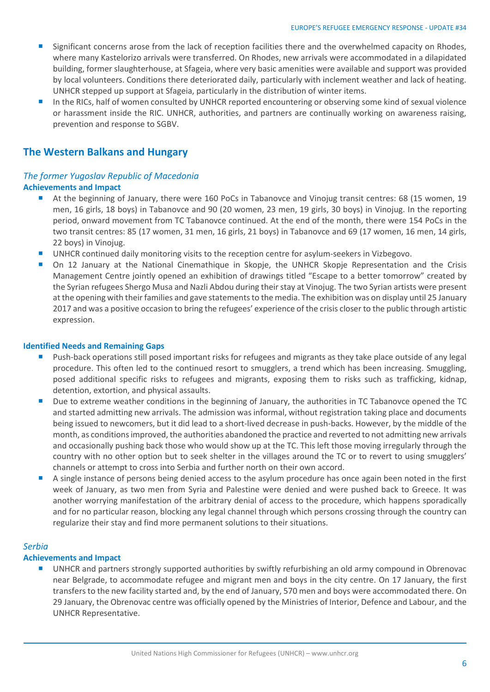- Significant concerns arose from the lack of reception facilities there and the overwhelmed capacity on Rhodes, where many Kastelorizo arrivals were transferred. On Rhodes, new arrivals were accommodated in a dilapidated building, former slaughterhouse, at Sfageia, where very basic amenities were available and support was provided by local volunteers. Conditions there deteriorated daily, particularly with inclement weather and lack of heating. UNHCR stepped up support at Sfageia, particularly in the distribution of winter items.
- In the RICs, half of women consulted by UNHCR reported encountering or observing some kind of sexual violence or harassment inside the RIC. UNHCR, authorities, and partners are continually working on awareness raising, prevention and response to SGBV.

# **The Western Balkans and Hungary**

## *The former Yugoslav Republic of Macedonia* **Achievements and Impact**

- At the beginning of January, there were 160 PoCs in Tabanovce and Vinojug transit centres: 68 (15 women, 19 men, 16 girls, 18 boys) in Tabanovce and 90 (20 women, 23 men, 19 girls, 30 boys) in Vinojug. In the reporting period, onward movement from TC Tabanovce continued. At the end of the month, there were 154 PoCs in the two transit centres: 85 (17 women, 31 men, 16 girls, 21 boys) in Tabanovce and 69 (17 women, 16 men, 14 girls, 22 boys) in Vinojug.
- UNHCR continued daily monitoring visits to the reception centre for asylum-seekers in Vizbegovo.
- On 12 January at the National Cinemathique in Skopje, the UNHCR Skopje Representation and the Crisis Management Centre jointly opened an exhibition of drawings titled "Escape to a better tomorrow" created by the Syrian refugees Shergo Musa and Nazli Abdou during their stay at Vinojug. The two Syrian artists were present at the opening with their families and gave statements to the media. The exhibition was on display until 25 January 2017 and was a positive occasion to bring the refugees' experience of the crisis closer to the public through artistic expression.

### **Identified Needs and Remaining Gaps**

- Push-back operations still posed important risks for refugees and migrants as they take place outside of any legal procedure. This often led to the continued resort to smugglers, a trend which has been increasing. Smuggling, posed additional specific risks to refugees and migrants, exposing them to risks such as trafficking, kidnap, detention, extortion, and physical assaults.
- Due to extreme weather conditions in the beginning of January, the authorities in TC Tabanovce opened the TC and started admitting new arrivals. The admission was informal, without registration taking place and documents being issued to newcomers, but it did lead to a short-lived decrease in push-backs. However, by the middle of the month, as conditions improved, the authorities abandoned the practice and reverted to not admitting new arrivals and occasionally pushing back those who would show up at the TC. This left those moving irregularly through the country with no other option but to seek shelter in the villages around the TC or to revert to using smugglers' channels or attempt to cross into Serbia and further north on their own accord.
- A single instance of persons being denied access to the asylum procedure has once again been noted in the first week of January, as two men from Syria and Palestine were denied and were pushed back to Greece. It was another worrying manifestation of the arbitrary denial of access to the procedure, which happens sporadically and for no particular reason, blocking any legal channel through which persons crossing through the country can regularize their stay and find more permanent solutions to their situations.

## *Serbia*

## **Achievements and Impact**

 UNHCR and partners strongly supported authorities by swiftly refurbishing an old army compound in Obrenovac near Belgrade, to accommodate refugee and migrant men and boys in the city centre. On 17 January, the first transfers to the new facility started and, by the end of January, 570 men and boys were accommodated there. On 29 January, the Obrenovac centre was officially opened by the Ministries of Interior, Defence and Labour, and the UNHCR Representative.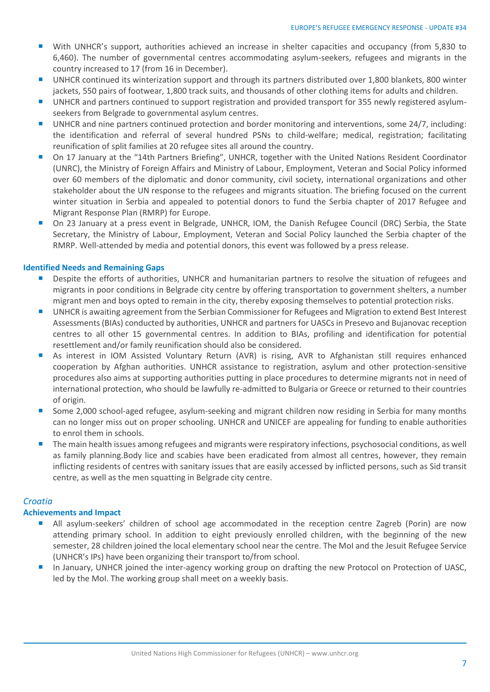- With UNHCR's support, authorities achieved an increase in shelter capacities and occupancy (from 5,830 to 6,460). The number of governmental centres accommodating asylum-seekers, refugees and migrants in the country increased to 17 (from 16 in December).
- UNHCR continued its winterization support and through its partners distributed over 1,800 blankets, 800 winter jackets, 550 pairs of footwear, 1,800 track suits, and thousands of other clothing items for adults and children.
- UNHCR and partners continued to support registration and provided transport for 355 newly registered asylumseekers from Belgrade to governmental asylum centres.
- UNHCR and nine partners continued protection and border monitoring and interventions, some 24/7, including: the identification and referral of several hundred PSNs to child-welfare; medical, registration; facilitating reunification of split families at 20 refugee sites all around the country.
- On 17 January at the "14th Partners Briefing", UNHCR, together with the United Nations Resident Coordinator (UNRC), the Ministry of Foreign Affairs and Ministry of Labour, Employment, Veteran and Social Policy informed over 60 members of the diplomatic and donor community, civil society, international organizations and other stakeholder about the UN response to the refugees and migrants situation. The briefing focused on the current winter situation in Serbia and appealed to potential donors to fund the Serbia chapter of 2017 Refugee and Migrant Response Plan (RMRP) for Europe.
- On 23 January at a press event in Belgrade, UNHCR, IOM, the Danish Refugee Council (DRC) Serbia, the State Secretary, the Ministry of Labour, Employment, Veteran and Social Policy launched the Serbia chapter of the RMRP. Well-attended by media and potential donors, this event was followed by a press release.

## **Identified Needs and Remaining Gaps**

- **Despite the efforts of authorities, UNHCR and humanitarian partners to resolve the situation of refugees and** migrants in poor conditions in Belgrade city centre by offering transportation to government shelters, a number migrant men and boys opted to remain in the city, thereby exposing themselves to potential protection risks.
- UNHCR is awaiting agreement from the Serbian Commissioner for Refugees and Migration to extend Best Interest Assessments (BIAs) conducted by authorities, UNHCR and partners for UASCs in Presevo and Bujanovac reception centres to all other 15 governmental centres. In addition to BIAs, profiling and identification for potential resettlement and/or family reunification should also be considered.
- As interest in IOM Assisted Voluntary Return (AVR) is rising, AVR to Afghanistan still requires enhanced cooperation by Afghan authorities. UNHCR assistance to registration, asylum and other protection-sensitive procedures also aims at supporting authorities putting in place procedures to determine migrants not in need of international protection, who should be lawfully re-admitted to Bulgaria or Greece or returned to their countries of origin.
- Some 2,000 school-aged refugee, asylum-seeking and migrant children now residing in Serbia for many months can no longer miss out on proper schooling. UNHCR and UNICEF are appealing for funding to enable authorities to enrol them in schools.
- The main health issues among refugees and migrants were respiratory infections, psychosocial conditions, as well as family planning.Body lice and scabies have been eradicated from almost all centres, however, they remain inflicting residents of centres with sanitary issues that are easily accessed by inflicted persons, such as Sid transit centre, as well as the men squatting in Belgrade city centre.

## *Croatia*

## **Achievements and Impact**

- All asylum-seekers' children of school age accommodated in the reception centre Zagreb (Porin) are now attending primary school. In addition to eight previously enrolled children, with the beginning of the new semester, 28 children joined the local elementary school near the centre. The MoI and the Jesuit Refugee Service (UNHCR's IPs) have been organizing their transport to/from school.
- In January, UNHCR joined the inter-agency working group on drafting the new Protocol on Protection of UASC, led by the MoI. The working group shall meet on a weekly basis.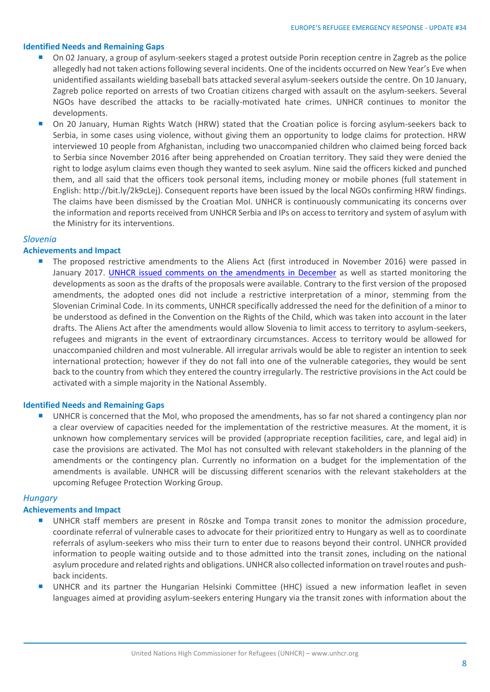#### **Identified Needs and Remaining Gaps**

- On 02 January, a group of asylum-seekers staged a protest outside Porin reception centre in Zagreb as the police allegedly had not taken actions following several incidents. One of the incidents occurred on New Year's Eve when unidentified assailants wielding baseball bats attacked several asylum-seekers outside the centre. On 10 January, Zagreb police reported on arrests of two Croatian citizens charged with assault on the asylum-seekers. Several NGOs have described the attacks to be racially-motivated hate crimes. UNHCR continues to monitor the developments.
- On 20 January, Human Rights Watch (HRW) stated that the Croatian police is forcing asylum-seekers back to Serbia, in some cases using violence, without giving them an opportunity to lodge claims for protection. HRW interviewed 10 people from Afghanistan, including two unaccompanied children who claimed being forced back to Serbia since November 2016 after being apprehended on Croatian territory. They said they were denied the right to lodge asylum claims even though they wanted to seek asylum. Nine said the officers kicked and punched them, and all said that the officers took personal items, including money or mobile phones (full statement in English: http://bit.ly/2k9cLej). Consequent reports have been issued by the local NGOs confirming HRW findings. The claims have been dismissed by the Croatian MoI. UNHCR is continuously communicating its concerns over the information and reports received from UNHCR Serbia and IPs on access to territory and system of asylum with the Ministry for its interventions.

#### *Slovenia*

### **Achievements and Impact**

 The proposed restrictive amendments to the Aliens Act (first introduced in November 2016) were passed in January 2017. [UNHCR issued comments on the amendments in December](http://www.unhcr.org/ceu/9031-unhcr-changes-to-the-aliens-act-would-jeopardize-the-right-to-asylum.html) as well as started monitoring the developments as soon as the drafts of the proposals were available. Contrary to the first version of the proposed amendments, the adopted ones did not include a restrictive interpretation of a minor, stemming from the Slovenian Criminal Code. In its comments, UNHCR specifically addressed the need for the definition of a minor to be understood as defined in the Convention on the Rights of the Child, which was taken into account in the later drafts. The Aliens Act after the amendments would allow Slovenia to limit access to territory to asylum-seekers, refugees and migrants in the event of extraordinary circumstances. Access to territory would be allowed for unaccompanied children and most vulnerable. All irregular arrivals would be able to register an intention to seek international protection; however if they do not fall into one of the vulnerable categories, they would be sent back to the country from which they entered the country irregularly. The restrictive provisions in the Act could be activated with a simple majority in the National Assembly.

#### **Identified Needs and Remaining Gaps**

 UNHCR is concerned that the MoI, who proposed the amendments, has so far not shared a contingency plan nor a clear overview of capacities needed for the implementation of the restrictive measures. At the moment, it is unknown how complementary services will be provided (appropriate reception facilities, care, and legal aid) in case the provisions are activated. The MoI has not consulted with relevant stakeholders in the planning of the amendments or the contingency plan. Currently no information on a budget for the implementation of the amendments is available. UNHCR will be discussing different scenarios with the relevant stakeholders at the upcoming Refugee Protection Working Group.

## *Hungary*

#### **Achievements and Impact**

- UNHCR staff members are present in Röszke and Tompa transit zones to monitor the admission procedure, coordinate referral of vulnerable cases to advocate for their prioritized entry to Hungary as well as to coordinate referrals of asylum-seekers who miss their turn to enter due to reasons beyond their control. UNHCR provided information to people waiting outside and to those admitted into the transit zones, including on the national asylum procedure and related rights and obligations. UNHCR also collected information on travel routes and pushback incidents.
- UNHCR and its partner the Hungarian Helsinki Committee (HHC) issued a new information leaflet in seven languages aimed at providing asylum-seekers entering Hungary via the transit zones with information about the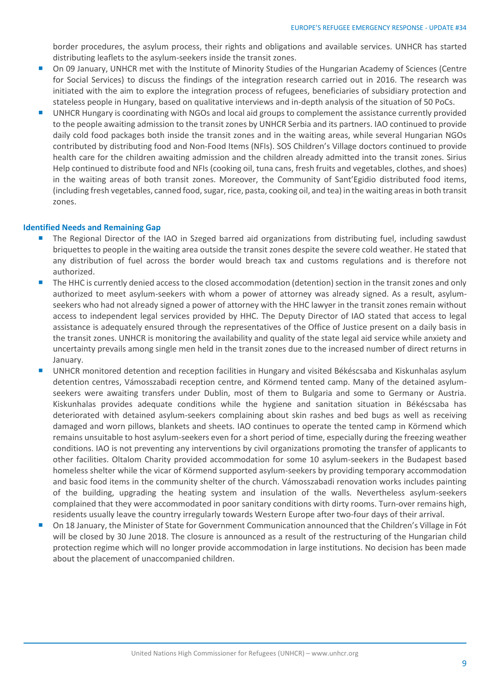border procedures, the asylum process, their rights and obligations and available services. UNHCR has started distributing leaflets to the asylum-seekers inside the transit zones.

- On 09 January, UNHCR met with the Institute of Minority Studies of the Hungarian Academy of Sciences (Centre for Social Services) to discuss the findings of the integration research carried out in 2016. The research was initiated with the aim to explore the integration process of refugees, beneficiaries of subsidiary protection and stateless people in Hungary, based on qualitative interviews and in-depth analysis of the situation of 50 PoCs.
- UNHCR Hungary is coordinating with NGOs and local aid groups to complement the assistance currently provided to the people awaiting admission to the transit zones by UNHCR Serbia and its partners. IAO continued to provide daily cold food packages both inside the transit zones and in the waiting areas, while several Hungarian NGOs contributed by distributing food and Non-Food Items (NFIs). SOS Children's Village doctors continued to provide health care for the children awaiting admission and the children already admitted into the transit zones. Sirius Help continued to distribute food and NFIs (cooking oil, tuna cans, fresh fruits and vegetables, clothes, and shoes) in the waiting areas of both transit zones. Moreover, the Community of Sant'Egidio distributed food items, (including fresh vegetables, canned food, sugar, rice, pasta, cooking oil, and tea) in the waiting areas in both transit zones.

### **Identified Needs and Remaining Gap**

- The Regional Director of the IAO in Szeged barred aid organizations from distributing fuel, including sawdust briquettes to people in the waiting area outside the transit zones despite the severe cold weather. He stated that any distribution of fuel across the border would breach tax and customs regulations and is therefore not authorized.
- The HHC is currently denied access to the closed accommodation (detention) section in the transit zones and only authorized to meet asylum-seekers with whom a power of attorney was already signed. As a result, asylumseekers who had not already signed a power of attorney with the HHC lawyer in the transit zones remain without access to independent legal services provided by HHC. The Deputy Director of IAO stated that access to legal assistance is adequately ensured through the representatives of the Office of Justice present on a daily basis in the transit zones. UNHCR is monitoring the availability and quality of the state legal aid service while anxiety and uncertainty prevails among single men held in the transit zones due to the increased number of direct returns in January.
- UNHCR monitored detention and reception facilities in Hungary and visited Békéscsaba and Kiskunhalas asylum detention centres, Vámosszabadi reception centre, and Körmend tented camp. Many of the detained asylumseekers were awaiting transfers under Dublin, most of them to Bulgaria and some to Germany or Austria. Kiskunhalas provides adequate conditions while the hygiene and sanitation situation in Békéscsaba has deteriorated with detained asylum-seekers complaining about skin rashes and bed bugs as well as receiving damaged and worn pillows, blankets and sheets. IAO continues to operate the tented camp in Körmend which remains unsuitable to host asylum-seekers even for a short period of time, especially during the freezing weather conditions. IAO is not preventing any interventions by civil organizations promoting the transfer of applicants to other facilities. Oltalom Charity provided accommodation for some 10 asylum-seekers in the Budapest based homeless shelter while the vicar of Körmend supported asylum-seekers by providing temporary accommodation and basic food items in the community shelter of the church. Vámosszabadi renovation works includes painting of the building, upgrading the heating system and insulation of the walls. Nevertheless asylum-seekers complained that they were accommodated in poor sanitary conditions with dirty rooms. Turn-over remains high, residents usually leave the country irregularly towards Western Europe after two-four days of their arrival.
- On 18 January, the Minister of State for Government Communication announced that the Children's Village in Fót will be closed by 30 June 2018. The closure is announced as a result of the restructuring of the Hungarian child protection regime which will no longer provide accommodation in large institutions. No decision has been made about the placement of unaccompanied children.